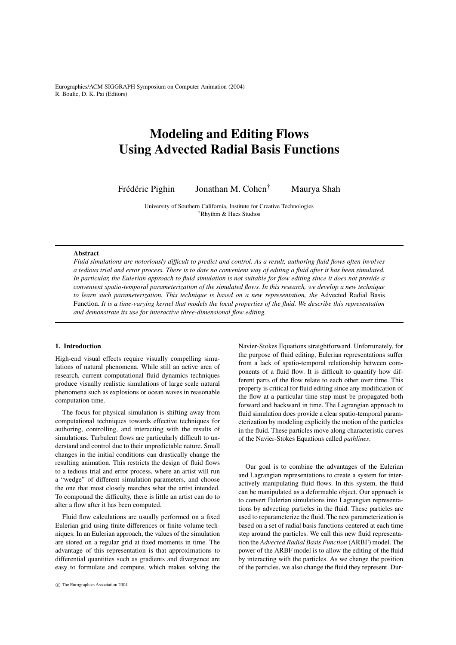Eurographics/ACM SIGGRAPH Symposium on Computer Animation (2004) R. Boulic, D. K. Pai (Editors)

# **Modeling and Editing Flows Using Advected Radial Basis Functions**

Frédéric Pighin Jonathan M. Cohen† Maurya Shah

University of Southern California, Institute for Creative Technologies †Rhythm & Hues Studios

#### **Abstract**

Fluid simulations are notoriously difficult to predict and control. As a result, authoring fluid flows often involves a tedious trial and error process. There is to date no convenient way of editing a fluid after it has been simulated. In particular, the Eulerian approach to fluid simulation is not suitable for flow editing since it does not provide a *convenient spatio-temporal parameterization of the simulated flows. In this research, we develop a new technique to learn such parameterization. This technique is based on a new representation, the* Advected Radial Basis Function. It is a time-varying kernel that models the local properties of the fluid. We describe this representation *and demonstrate its use for interactive three-dimensional flow editing.*

#### **1. Introduction**

High-end visual effects require visually compelling simulations of natural phenomena. While still an active area of research, current computational fluid dynamics techniques produce visually realistic simulations of large scale natural phenomena such as explosions or ocean waves in reasonable computation time.

The focus for physical simulation is shifting away from computational techniques towards effective techniques for authoring, controlling, and interacting with the results of simulations. Turbulent flows are particularly difficult to understand and control due to their unpredictable nature. Small changes in the initial conditions can drastically change the resulting animation. This restricts the design of fluid flows to a tedious trial and error process, where an artist will run a "wedge" of different simulation parameters, and choose the one that most closely matches what the artist intended. To compound the difficulty, there is little an artist can do to alter a flow after it has been computed.

Fluid flow calculations are usually performed on a fixed Eulerian grid using finite differences or finite volume techniques. In an Eulerian approach, the values of the simulation are stored on a regular grid at fixed moments in time. The advantage of this representation is that approximations to differential quantities such as gradients and divergence are easy to formulate and compute, which makes solving the Navier-Stokes Equations straightforward. Unfortunately, for the purpose of fluid editing, Eulerian representations suffer from a lack of spatio-temporal relationship between components of a fluid flow. It is difficult to quantify how different parts of the flow relate to each other over time. This property is critical for fluid editing since any modification of the flow at a particular time step must be propagated both forward and backward in time. The Lagrangian approach to fluid simulation does provide a clear spatio-temporal parameterization by modeling explicitly the motion of the particles in the fluid. These particles move along characteristic curves of the Navier-Stokes Equations called *pathlines*.

Our goal is to combine the advantages of the Eulerian and Lagrangian representations to create a system for interactively manipulating fluid flows. In this system, the fluid can be manipulated as a deformable object. Our approach is to convert Eulerian simulations into Lagrangian representations by advecting particles in the fluid. These particles are used to reparameterize the fluid. The new parameterization is based on a set of radial basis functions centered at each time step around the particles. We call this new fluid representation the *Advected Radial Basis Function* (ARBF) model. The power of the ARBF model is to allow the editing of the fluid by interacting with the particles. As we change the position of the particles, we also change the fluid they represent. Dur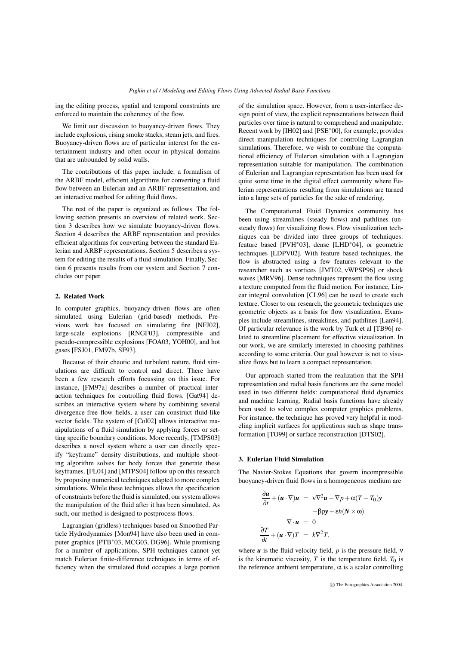ing the editing process, spatial and temporal constraints are enforced to maintain the coherency of the flow.

We limit our discussion to buoyancy-driven flows. They include explosions, rising smoke stacks, steam jets, and fires. Buoyancy-driven flows are of particular interest for the entertainment industry and often occur in physical domains that are unbounded by solid walls.

The contributions of this paper include: a formalism of the ARBF model, efficient algorithms for converting a fluid flow between an Eulerian and an ARBF representation, and an interactive method for editing fluid flows.

The rest of the paper is organized as follows. The following section presents an overview of related work. Section 3 describes how we simulate buoyancy-driven flows. Section 4 describes the ARBF representation and provides efficient algorithms for converting between the standard Eulerian and ARBF representations. Section 5 describes a system for editing the results of a fluid simulation. Finally, Section 6 presents results from our system and Section 7 concludes our paper.

# **2. Related Work**

In computer graphics, buoyancy-driven flows are often simulated using Eulerian (grid-based) methods. Previous work has focused on simulating fire [NFJ02], large-scale explosions [RNGF03], compressible and pseudo-compressible explosions [FOA03, YOH00], and hot gases [FSJ01, FM97b, SF93].

Because of their chaotic and turbulent nature, fluid simulations are difficult to control and direct. There have been a few research efforts focussing on this issue. For instance, [FM97a] describes a number of practical interaction techniques for controlling fluid flows. [Gat94] describes an interactive system where by combining several divergence-free flow fields, a user can construct fluid-like vector fields. The system of [Col02] allows interactive manipulations of a fluid simulation by applying forces or setting specific boundary conditions. More recently, [TMPS03] describes a novel system where a user can directly specify "keyframe" density distributions, and multiple shooting algorithm solves for body forces that generate these keyframes. [FL04] and [MTPS04] follow up on this research by proposing numerical techniques adapted to more complex simulations. While these techniques allows the specification of constraints before the fluid issimulated, our system allows the manipulation of the fluid after it has been simulated. As such, our method is designed to postprocess flows.

Lagrangian (gridless) techniques based on Smoothed Particle Hydrodynamics [Mon94] have also been used in computer graphics [PTB<sup>\*03</sup>, MCG03, DG96]. While promising for a number of applications, SPH techniques cannot yet match Eulerian finite-difference techniques in terms of efficiency when the simulated fluid occupies a large portion

of the simulation space. However, from a user-interface design point of view, the explicit representations between fluid particles over time is natural to comprehend and manipulate. Recent work by [IH02] and [PSE∗00], for example, provides direct manipulation techniques for controling Lagrangian simulations. Therefore, we wish to combine the computational efficiency of Eulerian simulation with a Lagrangian representation suitable for manipulation. The combination of Eulerian and Lagrangian representation has been used for quite some time in the digital effect community where Eulerian representations resulting from simulations are turned into a large sets of particles for the sake of rendering.

The Computational Fluid Dynamics community has been using streamlines (steady flows) and pathlines (unsteady flows) for visualizing flows. Flow visualization techniques can be divided into three groups of techniques: feature based [PVH∗03], dense [LHD∗04], or geometric techniques [LDPV02]. With feature based techniques, the flow is abstracted using a few features relevant to the researcher such as vortices [JMT02, vWPSP96] or shock waves [MRV96]. Dense techniques represent the flow using a texture computed from the fluid motion. For instance, Linear integral convolution [CL96] can be used to create such texture. Closer to our research, the geometric techniques use geometric objects as a basis for flow visualization. Examples include streamlines, streaklines, and pathlines [Lan94]. Of particular relevance is the work by Turk et al [TB96] related to streamline placement for effective vizualization. In our work, we are similarly interested in choosing pathlines according to some criteria. Our goal however is not to visualize flows but to learn a compact representation.

Our approach started from the realization that the SPH representation and radial basis functions are the same model used in two different fields: computational fluid dynamics and machine learning. Radial basis functions have already been used to solve complex computer graphics problems. For instance, the technique has proved very helpful in modeling implicit surfaces for applications such as shape transformation [TO99] or surface reconstruction [DTS02].

#### **3. Eulerian Fluid Simulation**

The Navier-Stokes Equations that govern incompressible buoyancy-driven fluid flows in a homogeneous medium are

$$
\frac{\partial u}{\partial t} + (u \cdot \nabla)u = v\nabla^2 u - \nabla p + \alpha (T - T_0)y
$$

$$
-\beta \rho y + \varepsilon h(N \times \omega)
$$

$$
\nabla \cdot u = 0
$$

$$
\frac{\partial T}{\partial t} + (u \cdot \nabla)T = k\nabla^2 T,
$$

where *u* is the fluid velocity field, *p* is the pressure field, ν is the kinematic viscosity,  $T$  is the temperature field,  $T_0$  is the reference ambient temperature,  $\alpha$  is a scalar controlling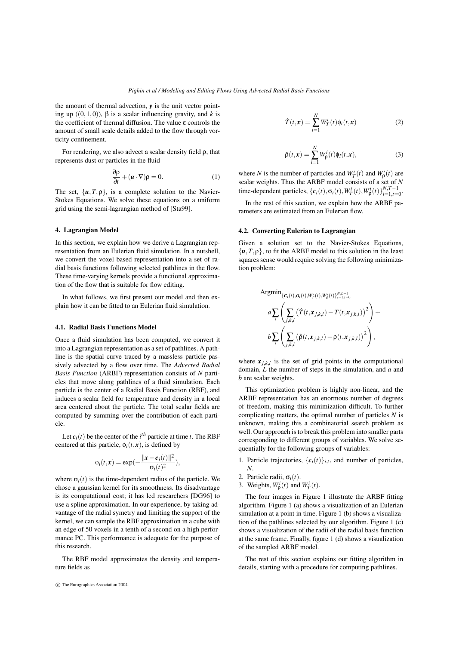the amount of thermal advection, *y* is the unit vector pointing up  $((0,1,0))$ ,  $\beta$  is a scalar influencing gravity, and *k* is the coefficient of thermal diffusion. The value ε controls the amount of small scale details added to the flow through vorticity confinement.

For rendering, we also advect a scalar density field  $\rho$ , that represents dust or particles in the fluid

$$
\frac{\partial \rho}{\partial t} + (\mathbf{u} \cdot \nabla) \rho = 0.
$$
 (1)

The set,  $\{u, T, \rho\}$ , is a complete solution to the Navier-Stokes Equations. We solve these equations on a uniform grid using the semi-lagrangian method of [Sta99].

# **4. Lagrangian Model**

In this section, we explain how we derive a Lagrangian representation from an Eulerian fluid simulation. In a nutshell, we convert the voxel based representation into a set of radial basis functions following selected pathlines in the flow. These time-varying kernels provide a functional approximation of the flow that is suitable for flow editing.

In what follows, we first present our model and then explain how it can be fitted to an Eulerian fluid simulation.

# **4.1. Radial Basis Functions Model**

Once a fluid simulation has been computed, we convert it into a Lagrangian representation as a set of pathlines. A pathline is the spatial curve traced by a massless particle passively advected by a flow over time. The *Advected Radial Basis Function* (ARBF) representation consists of *N* particles that move along pathlines of a fluid simulation. Each particle is the center of a Radial Basis Function (RBF), and induces a scalar field for temperature and density in a local area centered about the particle. The total scalar fields are computed by summing over the contribution of each particle.

Let  $c_i(t)$  be the center of the *i*<sup>th</sup> particle at time *t*. The RBF centered at this particle,  $\phi_i(t, x)$ , is defined by

$$
\phi_i(t,\mathbf{x}) = \exp(-\frac{\|\mathbf{x} - \mathbf{c}_i(t)\|^2}{\sigma_i(t)^2}),
$$

where  $\sigma_i(t)$  is the time-dependent radius of the particle. We chose a gaussian kernel for its smoothness. Its disadvantage is its computational cost; it has led researchers [DG96] to use a spline approximation. In our experience, by taking advantage of the radial symetry and limiting the support of the kernel, we can sample the RBF approximation in a cube with an edge of 50 voxels in a tenth of a second on a high performance PC. This performance is adequate for the purpose of this research.

The RBF model approximates the density and temperature fields as

$$
\hat{T}(t,\mathbf{x}) = \sum_{i=1}^{N} W_T^i(t)\phi_i(t,\mathbf{x})
$$
\n(2)

$$
\hat{\rho}(t,\mathbf{x}) = \sum_{i=1}^{N} W_{\rho}^{i}(t)\phi_{i}(t,\mathbf{x}),
$$
\n(3)

where *N* is the number of particles and  $W^i_T(t)$  and  $W^i_p(t)$  are scalar weights. Thus the ARBF model consists of a set of *N* time-dependent particles,  $\{c_i(t), \sigma_i(t), W_T^i(t), W_p^i(t)\}_{i=1, t=0}^{N, T-1}$ .

In the rest of this section, we explain how the ARBF parameters are estimated from an Eulerian flow.

# **4.2. Converting Eulerian to Lagrangian**

Given a solution set to the Navier-Stokes Equations,  $\{u, T, \rho\}$ , to fit the ARBF model to this solution in the least squares sense would require solving the following minimization problem:

$$
\begin{aligned} &\text{Argmin}_{\{\boldsymbol{c}_i(t),\sigma_i(t),W^i_T(t),W^i_{\beta}(t)\}_{i=1,t=0}^{N,L-1}}\\ &a\sum_t\left(\sum_{j,k,l}\big(\hat{T}(t,\boldsymbol{x}_{j,k,l})-T(t,\boldsymbol{x}_{j,k,l})\big)^2\right)+\\ &b\sum_t\left(\sum_{j,k,l}\big(\hat{\rho}(t,\boldsymbol{x}_{j,k,l})-\rho(t,\boldsymbol{x}_{j,k,l})\big)^2\right), \end{aligned}
$$

where  $x_{j,k,l}$  is the set of grid points in the computational domain, *L* the number of steps in the simulation, and *a* and *b* are scalar weights.

This optimization problem is highly non-linear, and the ARBF representation has an enormous number of degrees of freedom, making this minimization difficult. To further complicating matters, the optimal number of particles *N* is unknown, making this a combinatorial search problem as well. Our approach is to break this problem into smaller parts corresponding to different groups of variables. We solve sequentially for the following groups of variables:

- 1. Particle trajectories,  $\{c_i(t)\}_{i,t}$ , and number of particles, *N*.
- 2. Particle radii,  $\sigma_i(t)$ .
- 3. Weights,  $W_p^i(t)$  and  $W_T^i(t)$ .

The four images in Figure 1 illustrate the ARBF fitting algorithm. Figure 1 (a) shows a visualization of an Eulerian simulation at a point in time. Figure 1 (b) shows a visualization of the pathlines selected by our algorithm. Figure 1 (c) shows a visualization of the radii of the radial basis function at the same frame. Finally, figure 1 (d) shows a visualization of the sampled ARBF model.

The rest of this section explains our fitting algorithm in details, starting with a procedure for computing pathlines.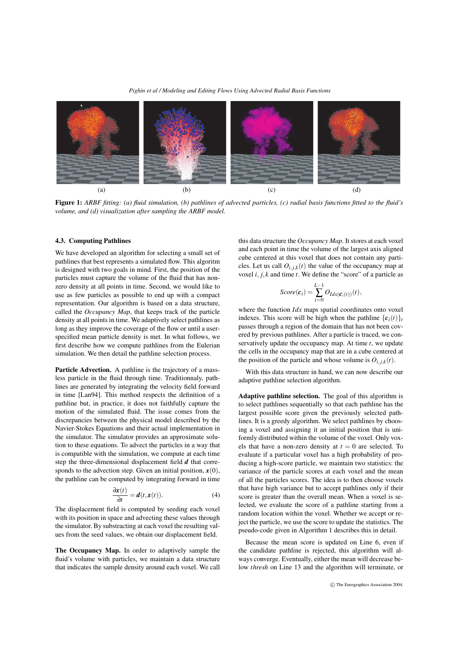*Pighin et al / Modeling and Editing Flows Using Advected Radial Basis Functions*



Figure 1: ARBF fitting: (a) fluid simulation, (b) pathlines of advected particles, (c) radial basis functions fitted to the fluid's *volume, and (d) visualization after sampling the ARBF model.*

# **4.3. Computing Pathlines**

We have developed an algorithm for selecting a small set of pathlines that best represents a simulated flow. This algoritm is designed with two goals in mind. First, the position of the particles must capture the volume of the fluid that has nonzero density at all points in time. Second, we would like to use as few particles as possible to end up with a compact representation. Our algorithm is based on a data structure, called the *Occupancy Map*, that keeps track of the particle density at all points in time. We adaptively select pathlines as long as they improve the coverage of the flow or until a userspecified mean particle density is met. In what follows, we first describe how we compute pathlines from the Eulerian simulation. We then detail the pathline selection process.

**Particle Advection.** A pathline is the trajectory of a massless particle in the fluid through time. Traditionnaly, pathlines are generated by integrating the velocity field forward in time [Lan94]. This method respects the definition of a pathline but, in practice, it does not faithfully capture the motion of the simulated fluid. The issue comes from the discrepancies between the physical model described by the Navier-Stokes Equations and their actual implementation in the simulator. The simulator provides an approximate solution to these equations. To advect the particles in a way that is compatible with the simulation, we compute at each time step the three-dimensional displacement field *d* that corresponds to the advection step. Given an initial position,  $x(0)$ , the pathline can be computed by integrating forward in time

$$
\frac{\partial \mathbf{x}(t)}{\partial t} = \mathbf{d}(t, \mathbf{x}(t)).
$$
\n(4)

The displacement field is computed by seeding each voxel with its position in space and advecting these values through the simulator. By substracting at each voxel the resulting values from the seed values, we obtain our displacement field.

**The Occupancy Map.** In order to adaptively sample the fluid's volume with particles, we maintain a data structure that indicates the sample density around each voxel. We call

this data structure the *Occupancy Map*. It stores at each voxel and each point in time the volume of the largest axis aligned cube centered at this voxel that does not contain any particles. Let us call  $O_{i, j,k}(t)$  the value of the occupancy map at voxel *i*, *j*,*k* and time *t*. We define the "score" of a particle as

$$
Score(c_i) = \sum_{t=0}^{L-1} O_{Idx(c_i(t))}(t),
$$

where the function *Idx* maps spatial coordinates onto voxel indexes. This score will be high when the pathline  ${c_i(t)}_t$ passes through a region of the domain that has not been covered by previous pathlines. After a particle is traced, we conservatively update the occupancy map. At time *t*, we update the cells in the occupancy map that are in a cube centered at the position of the particle and whose volume is  $O_{i,j,k}(t)$ .

With this data structure in hand, we can now describe our adaptive pathline selection algorithm.

**Adaptive pathline selection.** The goal of this algorithm is to select pathlines sequentially so that each pathline has the largest possible score given the previously selected pathlines. It is a greedy algorithm. We select pathlines by choosing a voxel and assigning it an initial position that is uniformly distributed within the volume of the voxel. Only voxels that have a non-zero density at  $t = 0$  are selected. To evaluate if a particular voxel has a high probability of producing a high-score particle, we maintain two statistics: the variance of the particle scores at each voxel and the mean of all the particles scores. The idea is to then choose voxels that have high variance but to accept pathlines only if their score is greater than the overall mean. When a voxel is selected, we evaluate the score of a pathline starting from a random location within the voxel. Whether we accept or reject the particle, we use the score to update the statistics. The pseudo-code given in Algorithm 1 describes this in detail.

Because the mean score is updated on Line 6, even if the candidate pathline is rejected, this algorithm will always converge. Eventually, either the mean will decrease below *thresh* on Line 13 and the algorithm will terminate, or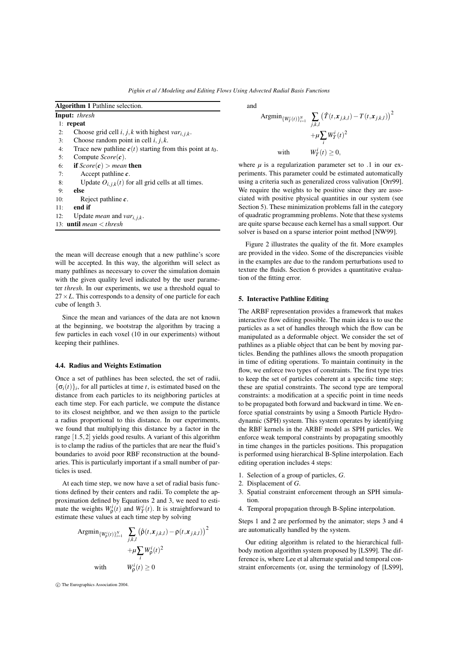|  |  |  |  |  | Pighin et al / Modeling and Editing Flows Using Advected Radial Basis Functions |  |
|--|--|--|--|--|---------------------------------------------------------------------------------|--|
|--|--|--|--|--|---------------------------------------------------------------------------------|--|

|     | <b>Algorithm 1</b> Pathline selection.                        |
|-----|---------------------------------------------------------------|
|     | <b>Input:</b> thresh                                          |
|     | $1:$ repeat                                                   |
| 2:  | Choose grid cell i, j, k with highest var <sub>i, i,k</sub> . |
| 3:  | Choose random point in cell $i, j, k$ .                       |
| 4:  | Trace new pathline $c(t)$ starting from this point at $t_0$ . |
| 5:  | Compute $Score(c)$ .                                          |
| 6:  | if $Score(c) > mean$ then                                     |
| 7:  | Accept pathline $c$ .                                         |
| 8:  | Update $O_{i,j,k}(t)$ for all grid cells at all times.        |
| 9:  | else                                                          |
| 10: | Reject pathline $c$ .                                         |
| 11: | end if                                                        |
| 12: | Update <i>mean</i> and $var_{i, j, k}$ .                      |
|     | 13: <b>until</b> mean $\lt$ thresh                            |

the mean will decrease enough that a new pathline's score will be accepted. In this way, the algorithm will select as many pathlines as necessary to cover the simulation domain with the given quality level indicated by the user parameter *thresh*. In our experiments, we use a threshold equal to  $27 \times L$ . This corresponds to a density of one particle for each cube of length 3.

Since the mean and variances of the data are not known at the beginning, we bootstrap the algorithm by tracing a few particles in each voxel (10 in our experiments) without keeping their pathlines.

#### **4.4. Radius and Weights Estimation**

Once a set of pathlines has been selected, the set of radii,  ${\{\sigma_i(t)\}}_i$ , for all particles at time *t*, is estimated based on the distance from each particles to its neighboring particles at each time step. For each particle, we compute the distance to its closest neightbor, and we then assign to the particle a radius proportional to this distance. In our experiments, we found that multiplying this distance by a factor in the range [1.5,2] yields good results. A variant of this algorithm is to clamp the radius of the particles that are near the fluid's boundaries to avoid poor RBF reconstruction at the boundaries. This is particularly important if a small number of particles is used.

At each time step, we now have a set of radial basis functions defined by their centers and radii. To complete the approximation defined by Equations 2 and 3, we need to estimate the weights  $W_p^i(t)$  and  $W_T^i(t)$ . It is straightforward to estimate these values at each time step by solving

Argmin<sub>{W<sub>p</sub><sup>i</sup>(t)</sub><sup>N</sup>/<sub>i=1</sub> 
$$
\sum_{j,k,l}
$$
  $(\hat{\rho}(t, x_{j,k,l}) - \rho(t, x_{j,k,l}))^2$   
  $+\mu \sum_i W_p^i(t)^2$   
with  $W_p^i(t) \ge 0$ 

c The Eurographics Association 2004.

and

Argmin<sub>{W<sub>T</sub><sup>i</sup>(t)</sub>}<sub>*i=1*</sub> 
$$
\sum_{j,k,l} (\hat{T}(t, \mathbf{x}_{j,k,l}) - T(t, \mathbf{x}_{j,k,l}))^{2}
$$

$$
+ \mu \sum_{i} W_{T}^{i}(t)^{2}
$$
with 
$$
W_{T}^{i}(t) \geq 0,
$$

where  $\mu$  is a regularization parameter set to .1 in our experiments. This parameter could be estimated automatically using a criteria such as generalized cross valivation [Orr99]. We require the weights to be positive since they are associated with positive physical quantities in our system (see Section 5). These minimization problems fall in the category of quadratic programming problems. Note that these systems are quite sparse because each kernel has a small support. Our solver is based on a sparse interior point method [NW99].

Figure 2 illustrates the quality of the fit. More examples are provided in the video. Some of the discrepancies visible in the examples are due to the random perturbations used to texture the fluids. Section 6 provides a quantitative evaluation of the fitting error.

#### **5. Interactive Pathline Editing**

The ARBF representation provides a framework that makes interactive flow editing possible. The main idea is to use the particles as a set of handles through which the flow can be manipulated as a deformable object. We consider the set of pathlines as a pliable object that can be bent by moving particles. Bending the pathlines allows the smooth propagation in time of editing operations. To maintain continuity in the flow, we enforce two types of constraints. The first type tries to keep the set of particles coherent at a specific time step; these are spatial constraints. The second type are temporal constraints: a modification at a specific point in time needs to be propagated both forward and backward in time. We enforce spatial constraints by using a Smooth Particle Hydrodynamic (SPH) system. This system operates by identifying the RBF kernels in the ARBF model as SPH particles. We enforce weak temporal constraints by propagating smoothly in time changes in the particles positions. This propagation is performed using hierarchical B-Spline interpolation. Each editing operation includes 4 steps:

- 1. Selection of a group of particles, *G*.
- 2. Displacement of *G*.
- 3. Spatial constraint enforcement through an SPH simulation.
- 4. Temporal propagation through B-Spline interpolation.

Steps 1 and 2 are performed by the animator; steps 3 and 4 are automatically handled by the system.

Our editing algorithm is related to the hierarchical fullbody motion algorithm system proposed by [LS99]. The difference is, where Lee et al alternate spatial and temporal constraint enforcements (or, using the terminology of [LS99],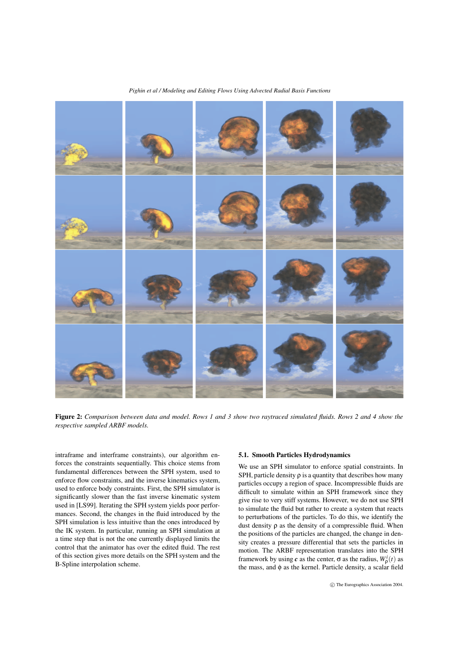

*Pighin et al / Modeling and Editing Flows Using Advected Radial Basis Functions*

Figure 2: Comparison between data and model. Rows 1 and 3 show two raytraced simulated fluids. Rows 2 and 4 show the *respective sampled ARBF models.*

intraframe and interframe constraints), our algorithm enforces the constraints sequentially. This choice stems from fundamental differences between the SPH system, used to enforce flow constraints, and the inverse kinematics system, used to enforce body constraints. First, the SPH simulator is significantly slower than the fast inverse kinematic system used in [LS99]. Iterating the SPH system yields poor performances. Second, the changes in the fluid introduced by the SPH simulation is less intuitive than the ones introduced by the IK system. In particular, running an SPH simulation at a time step that is not the one currently displayed limits the control that the animator has over the edited fluid. The rest of this section gives more details on the SPH system and the B-Spline interpolation scheme.

#### **5.1. Smooth Particles Hydrodynamics**

We use an SPH simulator to enforce spatial constraints. In SPH, particle density  $\rho$  is a quantity that describes how many particles occupy a region of space. Incompressible fluids are difficult to simulate within an SPH framework since they give rise to very stiff systems. However, we do not use SPH to simulate the fluid but rather to create a system that reacts to perturbations of the particles. To do this, we identify the dust density  $ρ$  as the density of a compressible fluid. When the positions of the particles are changed, the change in density creates a pressure differential that sets the particles in motion. The ARBF representation translates into the SPH framework by using *c* as the center,  $\sigma$  as the radius,  $W_{\rho}^{i}(t)$  as the mass, and φ as the kernel. Particle density, a scalar field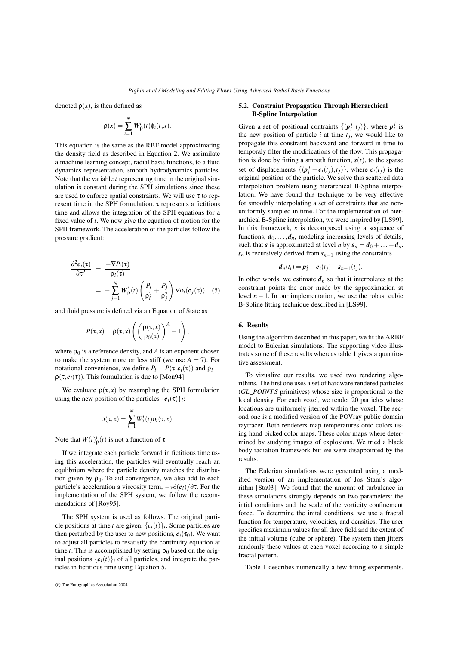denoted  $\rho(x)$ , is then defined as

$$
\rho(x) = \sum_{i=1}^N W_{\rho}^i(t)\phi_i(t,x).
$$

This equation is the same as the RBF model approximating the density field as described in Equation 2. We assimilate a machine learning concept, radial basis functions, to a fluid dynamics representation, smooth hydrodynamics particles. Note that the variable *t* representing time in the original simulation is constant during the SPH simulations since these are used to enforce spatial constraints. We will use τ to represent time in the SPH formulation. τ represents a fictitious time and allows the integration of the SPH equations for a fixed value of *t*. We now give the equation of motion for the SPH framework. The acceleration of the particles follow the pressure gradient:

$$
\frac{\partial^2 c_i(\tau)}{\partial \tau^2} = \frac{-\nabla P_i(\tau)}{\rho_i(\tau)}
$$
  
= 
$$
-\sum_{j=1}^N W_p^i(t) \left(\frac{P_i}{\rho_i^2} + \frac{P_j}{\rho_j^2}\right) \nabla \phi_i(c_j(\tau))
$$
 (5)

and fluid pressure is defined via an Equation of State as

$$
P(\tau, x) = \rho(\tau, x) \left( \left( \frac{\rho(\tau, x)}{\rho_0(x)} \right)^A - 1 \right),
$$

where  $\rho_0$  is a reference density, and *A* is an exponent chosen to make the system more or less stiff (we use  $A = 7$ ). For notational convenience, we define  $P_i = P(\tau, c_i(\tau))$  and  $\rho_i =$  $\rho(\tau, c_i(\tau))$ . This formulation is due to [Mon94].

We evaluate  $\rho(\tau, x)$  by resampling the SPH formulation using the new position of the particles  $\{c_i(\tau)\}_i$ :

$$
\rho(\tau, x) = \sum_{i=1}^N W^i_{\rho}(t)\phi_i(\tau, x).
$$

Note that  $W(t)\frac{i}{\rho}(t)$  is not a function of  $\tau$ .

If we integrate each particle forward in fictitious time using this acceleration, the particles will eventually reach an equlibrium where the particle density matches the distribution given by  $\rho_0$ . To aid convergence, we also add to each particle's acceleration a viscosity term, −*v*∂(*ci*)/∂τ. For the implementation of the SPH system, we follow the recommendations of [Roy95].

The SPH system is used as follows. The original particle positions at time *t* are given,  $\{c_i(t)\}_i$ . Some particles are then perturbed by the user to new positions,  $c_i(\tau_0)$ . We want to adjust all particles to resatistfy the continuity equation at time *t*. This is accomplished by setting  $\rho_0$  based on the original positions  ${c_i(t)}$  of all particles, and integrate the particles in fictitious time using Equation 5.

# **5.2. Constraint Propagation Through Hierarchical B-Spline Interpolation**

Given a set of positional contraints  $\{(\boldsymbol{p}_i^j, t_j)\}\$ , where  $\boldsymbol{p}_i^j$  is the new position of particle  $i$  at time  $t_j$ , we would like to propagate this constraint backward and forward in time to temporaly filter the modifications of the flow. This propagation is done by fitting a smooth function,  $s(t)$ , to the sparse set of displacements  $\{(\mathbf{p}_i^j - \mathbf{c}_i(t_j), t_j)\}$ , where  $\mathbf{c}_i(t_j)$  is the original position of the particle. We solve this scattered data interpolation problem using hierarchical B-Spline interpolation. We have found this technique to be very effective for smoothly interpolating a set of constraints that are nonuniformly sampled in time. For the implementation of hierarchical B-Spline interpolation, we were inspired by [LS99]. In this framework, *s* is decomposed using a sequence of functions,  $d_0$ ,..., $d_n$ , modeling increasing levels of details, such that *s* is approximated at level *n* by  $s_n = d_0 + \ldots + d_n$ .  $s_n$  is recursively derived from  $s_{n-1}$  using the constraints

$$
\boldsymbol{d}_n(t_i) = \boldsymbol{p}_i^j - \boldsymbol{c}_i(t_j) - \boldsymbol{s}_{n-1}(t_j).
$$

In other words, we estimate  $d_n$  so that it interpolates at the constraint points the error made by the approximation at level  $n - 1$ . In our implementation, we use the robust cubic B-Spline fitting technique described in [LS99].

# **6. Results**

Using the algorithm described in this paper, we fit the ARBF model to Eulerian simulations. The supporting video illustrates some of these results whereas table 1 gives a quantitative assessment.

To vizualize our results, we used two rendering algorithms. The first one uses a set of hardware rendered particles (*GL*\_*POINTS* primitives) whose size is proportional to the local density. For each voxel, we render 20 particles whose locations are uniformely jiterred within the voxel. The second one is a modified version of the POVray public domain raytracer. Both renderers map temperatures onto colors using hand picked color maps. These color maps where determined by studying images of explosions. We tried a black body radiation framework but we were disappointed by the results.

The Eulerian simulations were generated using a modified version of an implementation of Jos Stam's algorithm [Sta03]. We found that the amount of turbulence in these simulations strongly depends on two parameters: the intial conditions and the scale of the vorticity confinement force. To determine the inital conditions, we use a fractal function for temperature, velocities, and densities. The user specifies maximum values for all three field and the extent of the initial volume (cube or sphere). The system then jitters randomly these values at each voxel according to a simple fractal pattern.

Table 1 describes numerically a few fitting experiments.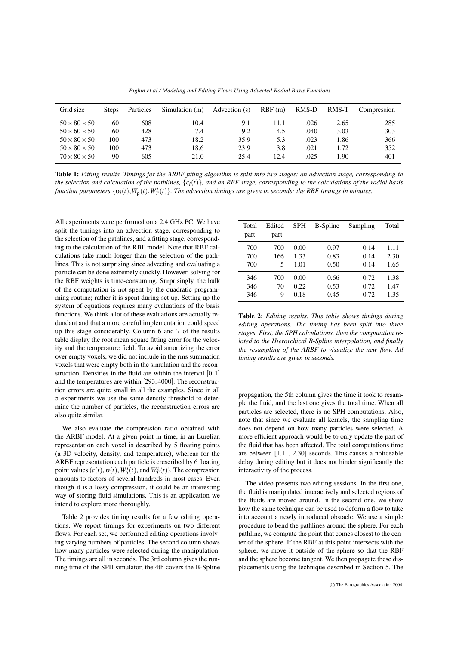*Pighin et al / Modeling and Editing Flows Using Advected Radial Basis Functions*

| Grid size                | <b>Steps</b> | Particles | Simulation (m) | Advection (s) | RBF(m) | RMS-D | RMS-T | Compression |
|--------------------------|--------------|-----------|----------------|---------------|--------|-------|-------|-------------|
| $50 \times 80 \times 50$ | 60           | 608       | 10.4           | 19.1          | 11.1   | .026  | 2.65  | 285         |
| $50 \times 60 \times 50$ | 60           | 428       | 7.4            | 9.2           | 4.5    | .040  | 3.03  | 303         |
| $50 \times 80 \times 50$ | 100          | 473       | 18.2           | 35.9          | 5.3    | .023  | 1.86  | 366         |
| $50 \times 80 \times 50$ | 100          | 473       | 18.6           | 23.9          | 3.8    | .021  | 1.72  | 352         |
| $70 \times 80 \times 50$ | 90           | 605       | 21.0           | 25.4          | 12.4   | .025  | 1.90  | 401         |

Table 1: Fitting results. Timings for the ARBF fitting algorithm is split into two stages: an advection stage, corresponding to the selection and calculation of the pathlines,  $\{c_i(t)\}$ , and an RBF stage, corresponding to the calculations of the radial basis function parameters  $\{\sigma_i(t), W_p^i(t), W_T^i(t)\}$ . The advection timings are given in seconds; the RBF timings in minutes.

All experiments were performed on a 2.4 GHz PC. We have split the timings into an advection stage, corresponding to the selection of the pathlines, and a fitting stage, corresponding to the calculation of the RBF model. Note that RBF calculations take much longer than the selection of the pathlines. This is not surprising since advecting and evaluating a particle can be done extremely quickly. However, solving for the RBF weights is time-consuming. Surprisingly, the bulk of the computation is not spent by the quadratic programming routine; rather it is spent during set up. Setting up the system of equations requires many evaluations of the basis functions. We think a lot of these evaluations are actually redundant and that a more careful implementation could speed up this stage considerably. Column 6 and 7 of the results table display the root mean square fitting error for the velocity and the temperature field. To avoid amortizing the error over empty voxels, we did not include in the rms summation voxels that were empty both in the simulation and the reconstruction. Densities in the fluid are within the interval  $[0,1]$ and the temperatures are within [293,4000]. The reconstruction errors are quite small in all the examples. Since in all 5 experiments we use the same density threshold to determine the number of particles, the reconstruction errors are also quite similar.

We also evaluate the compression ratio obtained with the ARBF model. At a given point in time, in an Eurelian representation each voxel is described by 5 floating points (a 3D velocity, density, and temperature), whereas for the ARBF representation each particle is crescribed by 6 floating point values  $(c(t), \sigma(t), W^i_{\rho}(t))$ , and  $W^i_T(t)$ ). The compression amounts to factors of several hundreds in most cases. Even though it is a lossy compression, it could be an interesting way of storing fluid simulations. This is an application we intend to explore more thoroughly.

Table 2 provides timing results for a few editing operations. We report timings for experiments on two different flows. For each set, we performed editing operations involving varying numbers of particles. The second column shows how many particles were selected during the manipulation. The timings are all in seconds. The 3rd column gives the running time of the SPH simulator, the 4th covers the B-Spline

| Total<br>part. | Edited<br>part. | SPH  | B-Spline | Sampling | Total |
|----------------|-----------------|------|----------|----------|-------|
| 700            | 700             | 0.00 | 0.97     | 0.14     | 1.11  |
| 700            | 166             | 1.33 | 0.83     | 0.14     | 2.30  |
| 700            | 5               | 1.01 | 0.50     | 0.14     | 1.65  |
| 346            | 700             | 0.00 | 0.66     | 0.72     | 1.38  |
| 346            | 70              | 0.22 | 0.53     | 0.72     | 1.47  |
| 346            | 9               | 0.18 | 0.45     | 0.72     | 1.35  |

**Table 2:** *Editing results. This table shows timings during editing operations. The timing has been split into three stages. First, the SPH calculations, then the computation related to the Hierarchical B-Spline interpolation, and finally the resampling of the ARBF to visualize the new flow. All timing results are given in seconds.*

propagation, the 5th column gives the time it took to resample the fluid, and the last one gives the total time. When all particles are selected, there is no SPH computations. Also, note that since we evaluate all kernels, the sampling time does not depend on how many particles were selected. A more efficient approach would be to only update the part of the fluid that has been affected. The total computations time are between [1.11, 2.30] seconds. This causes a noticeable delay during editing but it does not hinder significantly the interactivity of the process.

The video presents two editing sessions. In the first one, the fluid is manipulated interactively and selected regions of the fluids are moved around. In the second one, we show how the same technique can be used to deform a flow to take into account a newly introduced obstacle. We use a simple procedure to bend the pathlines around the sphere. For each pathline, we compute the point that comes closest to the center of the sphere. If the RBF at this point intersects with the sphere, we move it outside of the sphere so that the RBF and the sphere become tangent. We then propagate these displacements using the technique described in Section 5. The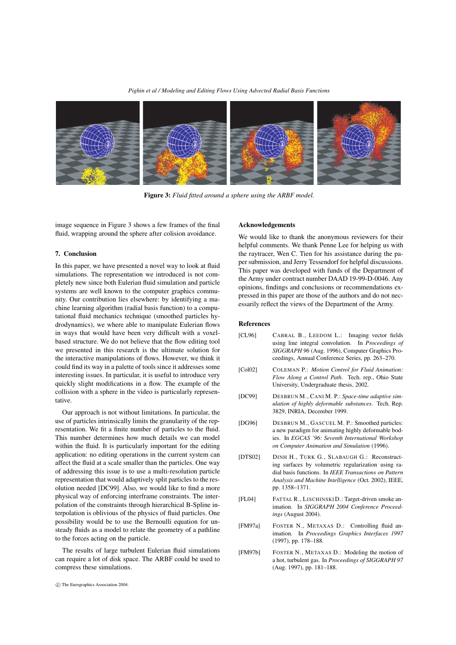*Pighin et al / Modeling and Editing Flows Using Advected Radial Basis Functions*



**Figure 3:** *Fluid fitted around a sphere using the ARBF model.*

image sequence in Figure 3 shows a few frames of the final fluid, wrapping around the sphere after colision avoidance.

#### **7. Conclusion**

In this paper, we have presented a novel way to look at fluid simulations. The representation we introduced is not completely new since both Eulerian fluid simulation and particle systems are well known to the computer graphics community. Our contribution lies elsewhere: by identifying a machine learning algorithm (radial basis function) to a computational fluid mechanics technique (smoothed particles hydrodynamics), we where able to manipulate Eulerian flows in ways that would have been very difficult with a voxelbased structure. We do not believe that the flow editing tool we presented in this research is the ultimate solution for the interactive manipulations of flows. However, we think it could find its way in a palette of tools since it addresses some interesting issues. In particular, it is useful to introduce very quickly slight modifications in a flow. The example of the collision with a sphere in the video is particularly representative.

Our approach is not without limitations. In particular, the use of particles intrinsically limits the granularity of the representation. We fit a finite number of particles to the fluid. This number determines how much details we can model within the fluid. It is particularly important for the editing application: no editing operations in the current system can affect the fluid at a scale smaller than the particles. One way of addressing this issue is to use a multi-resolution particle representation that would adaptively split particles to the resolution needed [DC99]. Also, we would like to find a more physical way of enforcing interframe constraints. The interpolation of the constraints through hierarchical B-Spline interpolation is oblivious of the physics of fluid particles. One possibility would be to use the Bernoulli equation for unsteady fluids as a model to relate the geometry of a pathline to the forces acting on the particle.

The results of large turbulent Eulerian fluid simulations can require a lot of disk space. The ARBF could be used to compress these simulations.

#### **Acknowledgements**

We would like to thank the anonymous reviewers for their helpful comments. We thank Penne Lee for helping us with the raytracer, Wen C. Tien for his assistance during the papersubmission, and Jerry Tessendorf for helpful discussions. This paper was developed with funds of the Department of the Army under contract number DAAD 19-99-D-0046. Any opinions, findings and conclusions or recommendations expressed in this paper are those of the authors and do not necessarily reflect the views of the Department of the Army.

#### **References**

- [CL96] CABRAL B., LEEDOM L.: Imaging vector fields using line integral convolution. In *Proceedings of SIGGRAPH 96* (Aug. 1996), Computer Graphics Proceedings, Annual Conference Series, pp. 263–270.
- [Col02] COLEMAN P.: *Motion Control for Fluid Animation: Flow Along a Control Path*. Tech. rep., Ohio State University, Undergraduate thesis, 2002.
- [DC99] DESBRUN M., CANI M. P.: *Space-time adaptive simulation of highly deformable substances*. Tech. Rep. 3829, INRIA, December 1999.
- [DG96] DESBRUN M., GASCUEL M. P.: Smoothed particles: a new paradigm for animating highly deformable bodies. In *EGCAS '96: Seventh International Workshop on Computer Animation and Simulation* (1996).
- [DTS02] DINH H., TURK G., SLABAUGH G.: Reconstructing surfaces by volumetric regularization using radial basis functions. In *IEEE Transactions on Pattern Analysis and Machine Intelligence* (Oct. 2002), IEEE, pp. 1358–1371.
- [FL04] FATTAL R., LISCHINSKI D.: Target-driven smoke animation. In *SIGGRAPH 2004 Conference Proceedings* (August 2004).
- [FM97a] FOSTER N., METAXAS D.: Controlling fluid animation. In *Proceedings Graphics Interfaces 1997* (1997), pp. 178–188.
- [FM97b] FOSTER N., METAXAS D.: Modeling the motion of a hot, turbulent gas. In *Proceedings of SIGGRAPH 97* (Aug. 1997), pp. 181–188.